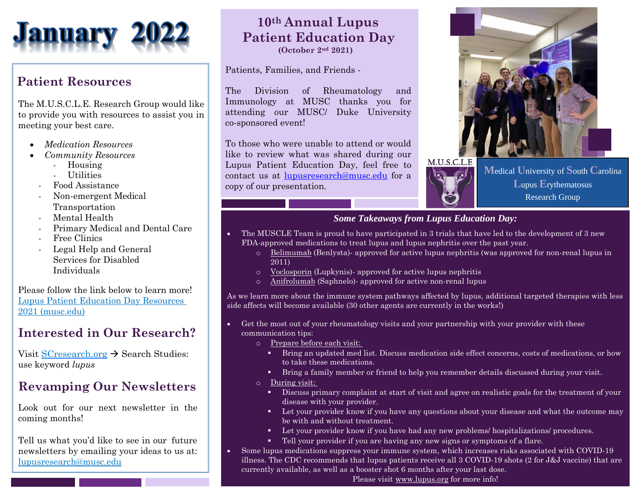

### **Patient Resources**

The M.U.S.C.L.E. Research Group would like to provide you with resources to assist you in meeting your best care.

- *Medication Resources*
- *Community Resources*
	- Housing
	- Utilities
	- Food Assistance
	- Non-emergent Medical Transportation
	- Mental Health
	- Primary Medical and Dental Care
	- Free Clinics
	- Legal Help and General Services for Disabled Individuals

Please follow the link below to learn more! [Lupus Patient Education Day Resources](https://medicine.musc.edu/-/sm/medicine/departments/dom/divisions/rheumatology-and-immunology/f/navigator-presentation---lupus-patient-education-day-2021-accessible.ashx?la=en)  [2021 \(musc.edu\)](https://medicine.musc.edu/-/sm/medicine/departments/dom/divisions/rheumatology-and-immunology/f/navigator-presentation---lupus-patient-education-day-2021-accessible.ashx?la=en)

## **Interested in Our Research?**

Visit [SCresearch.org](https://scresearch.org/) → Search Studies: use keyword *lupus*

### **Revamping Our Newsletters**

Look out for our next newsletter in the coming months!

Tell us what you'd like to see in our [future](mailto:lupusresearch@musc.edu)  [newsletters by e](mailto:lupusresearch@musc.edu)mailing your ideas [to us at:](mailto:lupusresearch@musc.edu) [lupusresearch@musc.edu](mailto:lupusresearch@musc.edu)

# **10th Annual Lupus Patient Education Day**

 **(October 2nd 2021)** 

#### Patients, Families, and Friends -

The Division of Rheumatology and Immunology at MUSC thanks you for attending our MUSC/ Duke University co-sponsored event!

To those who were unable to attend or would like to review what was shared during our Lupus Patient Education Day, feel free to contact us at [lupusresearch@musc.edu](mailto:lupusresearch@musc.edu) for a copy of our presentation.





**M**edical **U**niversity of **S**outh **C**arolina **L**upus **E**rythematosus Research Group

#### *Some Takeaways from Lupus Education Day:*

- The MUSCLE Team is proud to have participated in 3 trials that have led to the development of 3 new FDA-approved medications to treat lupus and lupus nephritis over the past year.
	- o Belimumab (Benlysta)- approved for active lupus nephritis (was approved for non-renal lupus in 2011)
	- o Voclosporin (Lupkynis)- approved for active lupus nephritis
	- Anifrolumab (Saphnelo)- approved for active non-renal lupus

As we learn more about the immune system pathways affected by lupus, additional targeted therapies with less side affects will become available (30 other agents are currently in the works!)

- Get the most out of your rheumatology visits and your partnership with your provider with these communication tips:
	- o Prepare before each visit:
		- **•** Bring an updated med list. Discuss medication side effect concerns, costs of medications, or how to take these medications.
		- Bring a family member or friend to help you remember details discussed during your visit.
	- o During visit:
		- Discuss primary complaint at start of visit and agree on realistic goals for the treatment of your disease with your provider.
		- **•** Let your provider know if you have any questions about your disease and what the outcome may be with and without treatment.
		- Let your provider know if you have had any new problems/ hospitalizations/ procedures.
		- Tell your provider if you are having any new signs or symptoms of a flare.
- Some lupus medications suppress your immune system, which increases risks associated with COVID-19 illness. The CDC recommends that lupus patients receive all 3 COVID-19 shots (2 for J&J vaccine) that are currently available, as well as a booster shot 6 months after your last dose.

Please visit [www.lupus.org](http://www.lupus.org/) for more info!